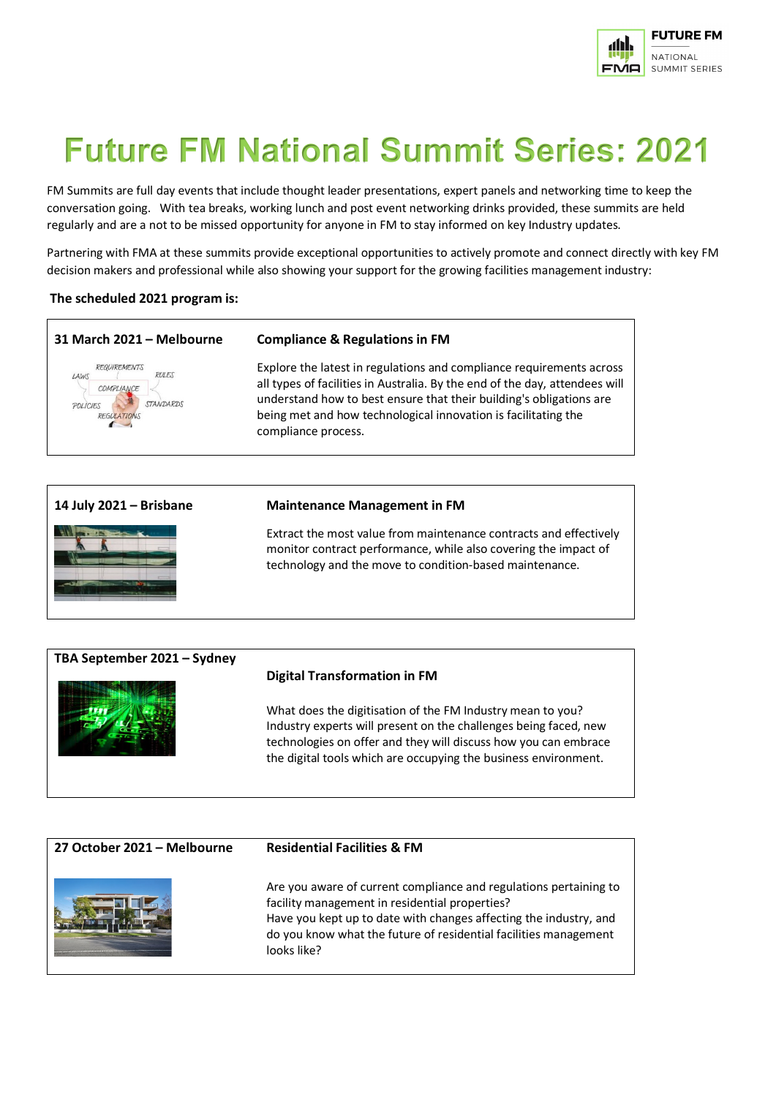

# **Future FM National Summit Series: 2021**

FM Summits are full day events that include thought leader presentations, expert panels and networking time to keep the conversation going. With tea breaks, working lunch and post event networking drinks provided, these summits are held regularly and are a not to be missed opportunity for anyone in FM to stay informed on key Industry updates.

Partnering with FMA at these summits provide exceptional opportunities to actively promote and connect directly with key FM decision makers and professional while also showing your support for the growing facilities management industry:

#### **The scheduled 2021 program is:**



Extract the most value from maintenance contracts and effectively monitor contract performance, while also covering the impact of technology and the move to condition-based maintenance.



| 27 October 2021 - Melbourne | <b>Residential Facilities &amp; FM</b>                                                                                                                                                                                                                                      |
|-----------------------------|-----------------------------------------------------------------------------------------------------------------------------------------------------------------------------------------------------------------------------------------------------------------------------|
|                             | Are you aware of current compliance and regulations pertaining to<br>facility management in residential properties?<br>Have you kept up to date with changes affecting the industry, and<br>do you know what the future of residential facilities management<br>looks like? |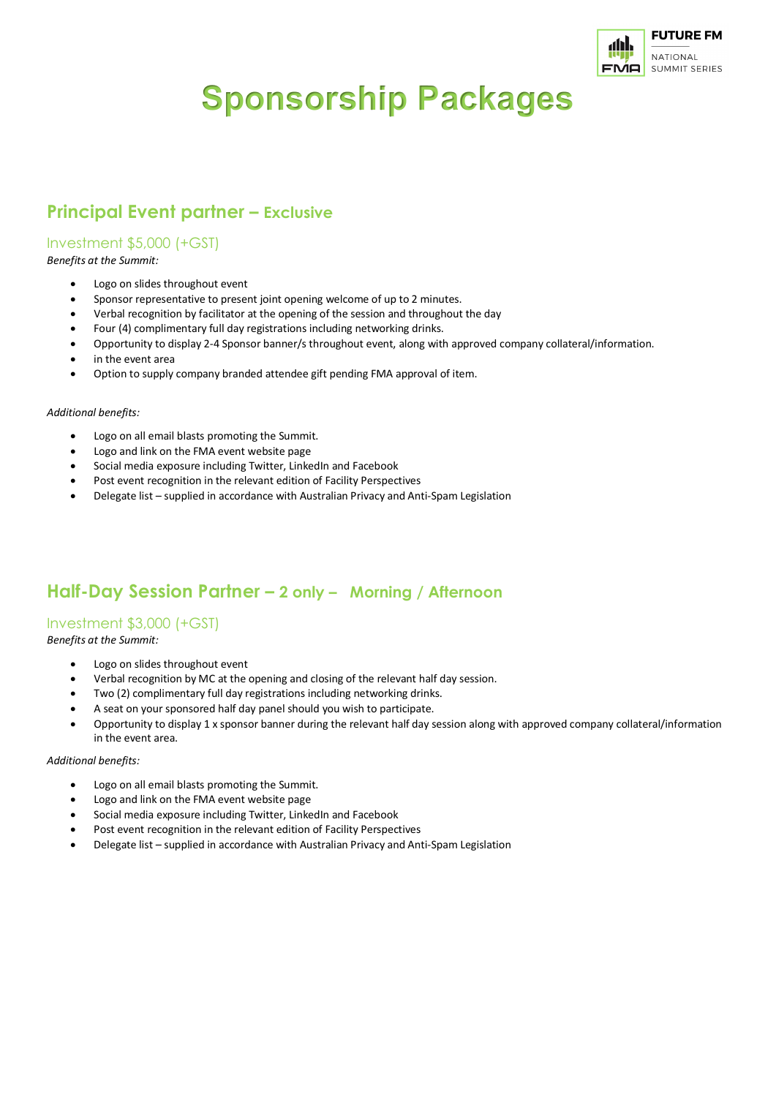

# **Sponsorship Packages**

# **Principal Event partner – Exclusive**

## Investment \$5,000 (+GST)

*Benefits at the Summit:*

- Logo on slides throughout event
- Sponsor representative to present joint opening welcome of up to 2 minutes.
- Verbal recognition by facilitator at the opening of the session and throughout the day
- Four (4) complimentary full day registrations including networking drinks.
- Opportunity to display 2-4 Sponsor banner/s throughout event, along with approved company collateral/information.
- in the event area
- Option to supply company branded attendee gift pending FMA approval of item.

#### *Additional benefits:*

- Logo on all email blasts promoting the Summit.
- Logo and link on the FMA event website page
- Social media exposure including Twitter, LinkedIn and Facebook
- Post event recognition in the relevant edition of Facility Perspectives
- Delegate list supplied in accordance with Australian Privacy and Anti-Spam Legislation

## **Half-Day Session Partner – 2 only – Morning / Afternoon**

### Investment \$3,000 (+GST)

*Benefits at the Summit:*

- Logo on slides throughout event
- Verbal recognition by MC at the opening and closing of the relevant half day session.
- Two (2) complimentary full day registrations including networking drinks.
- A seat on your sponsored half day panel should you wish to participate.
- Opportunity to display 1 x sponsor banner during the relevant half day session along with approved company collateral/information in the event area.

#### *Additional benefits:*

- Logo on all email blasts promoting the Summit.
- Logo and link on the FMA event website page
- Social media exposure including Twitter, LinkedIn and Facebook
- Post event recognition in the relevant edition of Facility Perspectives
- Delegate list supplied in accordance with Australian Privacy and Anti-Spam Legislation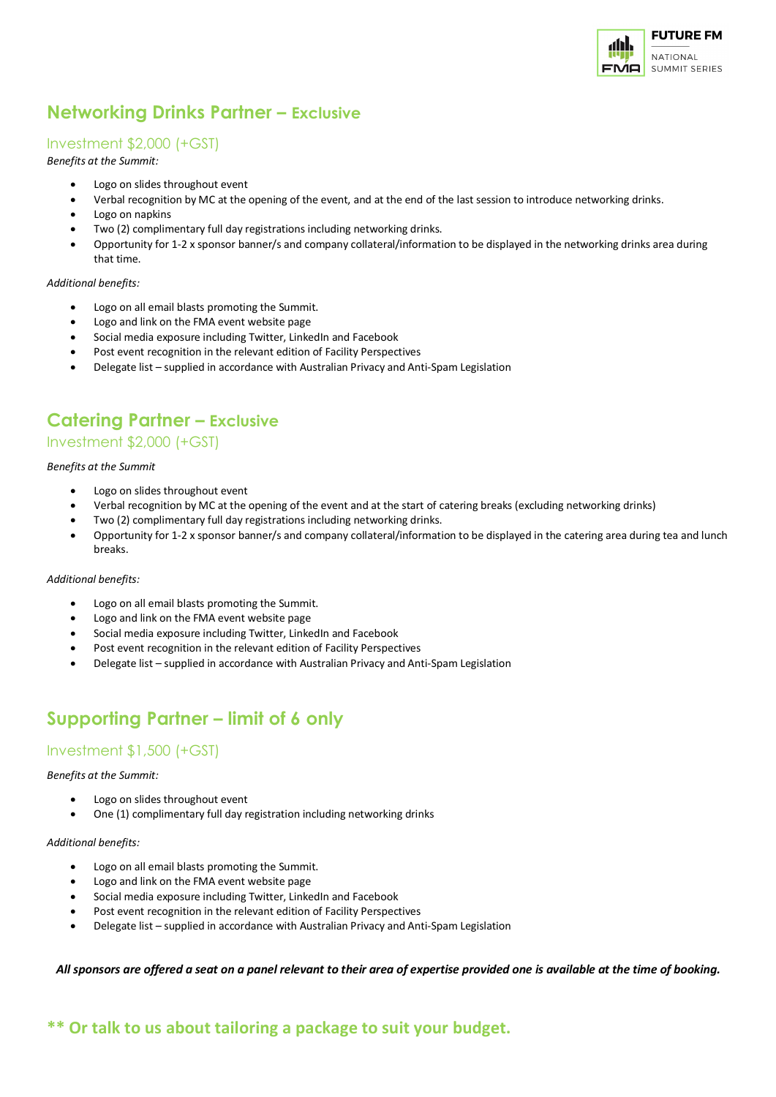

# **Networking Drinks Partner – Exclusive**

## Investment \$2,000 (+GST)

*Benefits at the Summit:*

- Logo on slides throughout event
- Verbal recognition by MC at the opening of the event, and at the end of the last session to introduce networking drinks.
- Logo on napkins
- Two (2) complimentary full day registrations including networking drinks.
- Opportunity for 1-2 x sponsor banner/s and company collateral/information to be displayed in the networking drinks area during that time.

#### *Additional benefits:*

- Logo on all email blasts promoting the Summit.
- Logo and link on the FMA event website page
- Social media exposure including Twitter, LinkedIn and Facebook
- Post event recognition in the relevant edition of Facility Perspectives
- Delegate list supplied in accordance with Australian Privacy and Anti-Spam Legislation

# **Catering Partner – Exclusive**

#### Investment \$2,000 (+GST)

*Benefits at the Summit*

- Logo on slides throughout event
- Verbal recognition by MC at the opening of the event and at the start of catering breaks (excluding networking drinks)
- Two (2) complimentary full day registrations including networking drinks.
- Opportunity for 1-2 x sponsor banner/s and company collateral/information to be displayed in the catering area during tea and lunch breaks.

#### *Additional benefits:*

- Logo on all email blasts promoting the Summit.
- Logo and link on the FMA event website page
- Social media exposure including Twitter, LinkedIn and Facebook
- Post event recognition in the relevant edition of Facility Perspectives
- Delegate list supplied in accordance with Australian Privacy and Anti-Spam Legislation

# **Supporting Partner – limit of 6 only**

#### Investment \$1,500 (+GST)

#### *Benefits at the Summit:*

- Logo on slides throughout event
- One (1) complimentary full day registration including networking drinks

#### *Additional benefits:*

- Logo on all email blasts promoting the Summit.
- Logo and link on the FMA event website page
- Social media exposure including Twitter, LinkedIn and Facebook
- Post event recognition in the relevant edition of Facility Perspectives
- Delegate list supplied in accordance with Australian Privacy and Anti-Spam Legislation

*All sponsors are offered a seat on a panel relevant to their area of expertise provided one is available at the time of booking.* 

## **\*\* Or talk to us about tailoring a package to suit your budget.**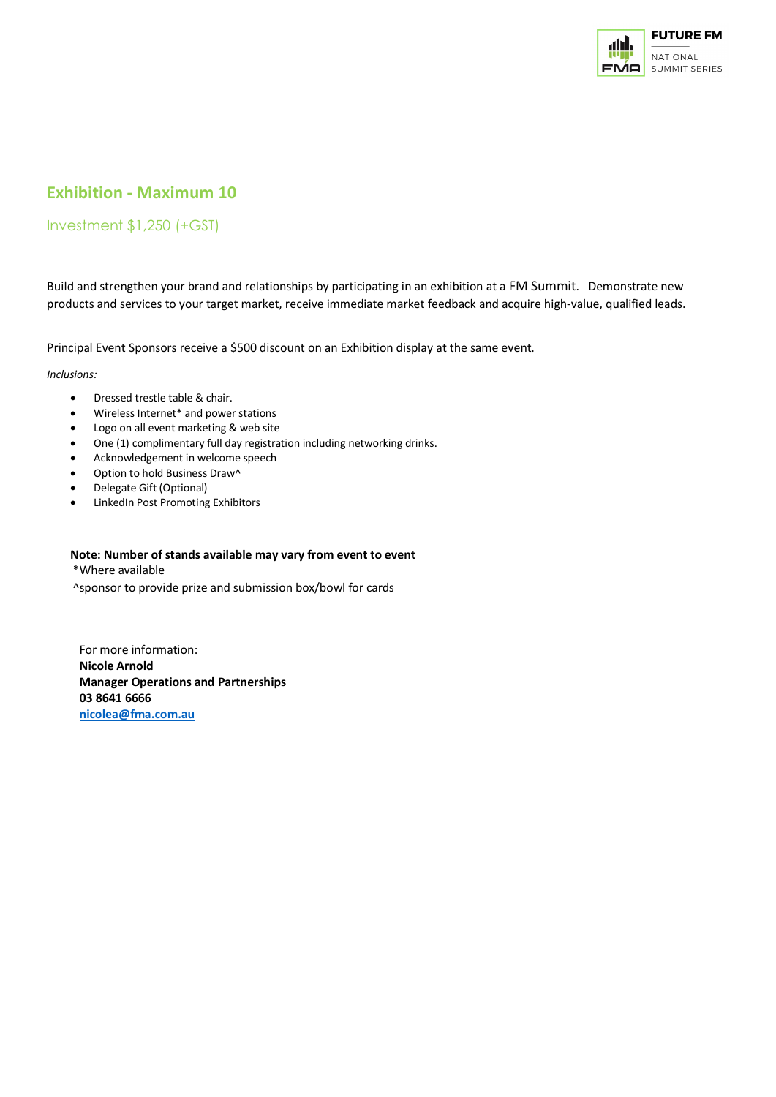

# **Exhibition - Maximum 10**

## Investment \$1,250 (+GST)

Build and strengthen your brand and relationships by participating in an exhibition at a FM Summit. Demonstrate new products and services to your target market, receive immediate market feedback and acquire high-value, qualified leads.

Principal Event Sponsors receive a \$500 discount on an Exhibition display at the same event.

#### *Inclusions:*

- Dressed trestle table & chair.
- Wireless Internet\* and power stations
- Logo on all event marketing & web site
- One (1) complimentary full day registration including networking drinks.
- Acknowledgement in welcome speech
- Option to hold Business Draw^
- Delegate Gift (Optional)
- LinkedIn Post Promoting Exhibitors

#### **Note: Number of stands available may vary from event to event**

\*Where available

^sponsor to provide prize and submission box/bowl for cards

For more information: **Nicole Arnold Manager Operations and Partnerships 03 8641 6666 [nicolea@fma.com.au](mailto:nicolea@fma.com.au)**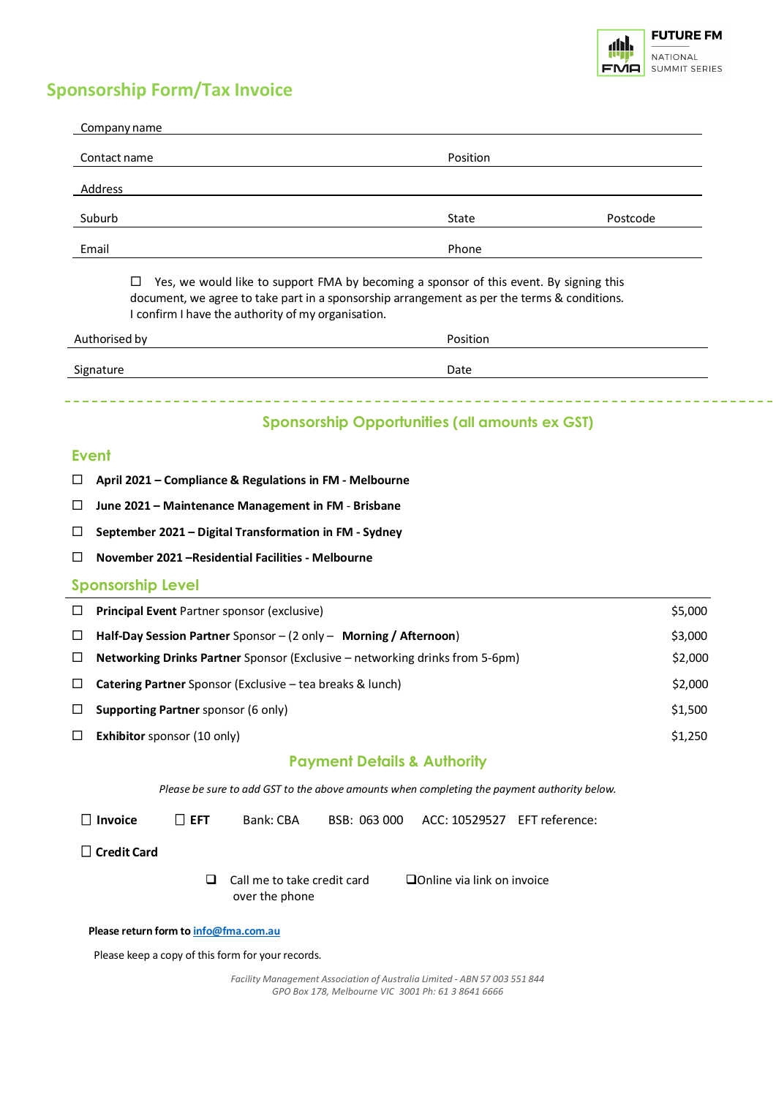

# **Sponsorship Form/Tax Invoice**

| Company name                                            |                                                                                                                                                                                       |          |
|---------------------------------------------------------|---------------------------------------------------------------------------------------------------------------------------------------------------------------------------------------|----------|
| Contact name                                            | Position                                                                                                                                                                              |          |
| Address                                                 |                                                                                                                                                                                       |          |
| Suburb                                                  | State                                                                                                                                                                                 | Postcode |
| Email                                                   | Phone                                                                                                                                                                                 |          |
| □<br>I confirm I have the authority of my organisation. | Yes, we would like to support FMA by becoming a sponsor of this event. By signing this<br>document, we agree to take part in a sponsorship arrangement as per the terms & conditions. |          |
| Authorised by                                           | Position                                                                                                                                                                              |          |
| Signature                                               | Date                                                                                                                                                                                  |          |

## **Sponsorship Opportunities (all amounts ex GST)**

#### **Event**

- **April 2021 – Compliance & Regulations in FM - Melbourne**
- **June 2021 – Maintenance Management in FM Brisbane**
- **September 2021 – Digital Transformation in FM - Sydney**
- **November 2021 –Residential Facilities - Melbourne**

#### **Sponsorship Level**

| ⊔      | <b>Principal Event</b> Partner sponsor (exclusive)                                  | \$5,000 |
|--------|-------------------------------------------------------------------------------------|---------|
|        | Half-Day Session Partner Sponsor $-$ (2 only $-$ Morning / Afternoon)               | \$3,000 |
| $\Box$ | <b>Networking Drinks Partner</b> Sponsor (Exclusive – networking drinks from 5-6pm) | \$2,000 |
|        | <b>Catering Partner</b> Sponsor (Exclusive – tea breaks & lunch)                    | \$2,000 |
|        | <b>Supporting Partner</b> sponsor (6 only)                                          | \$1.500 |
|        | <b>Exhibitor</b> sponsor (10 only)                                                  | \$1,250 |

### **Payment Details & Authority**

*Please be sure to add GST to the above amounts when completing the payment authority below.*

 **Invoice EFT** Bank: CBA BSB: 063 000 ACC: 10529527 EFT reference:

 **Credit Card** 

 $\Box$  Call me to take credit card over the phone Online via link on invoice

 **Please return form to [info@fma.com.au](mailto:info@fma.com.au)**

Please keep a copy of this form for your records.

*Facility Management Association of Australia Limited - ABN 57 003 551 844 GPO Box 178, Melbourne VIC 3001 Ph: 61 3 8641 6666*